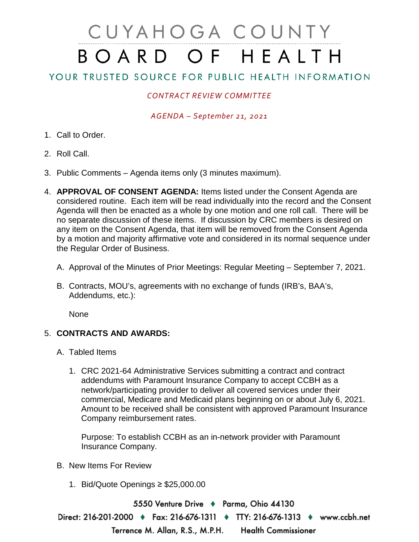# CUYAHOGA COUNTY BOARD OF HEALTH

## YOUR TRUSTED SOURCE FOR PUBLIC HEALTH INFORMATION

### *CONTRACT REVIEW COMMITTEE*

#### *AGENDA – September 21, 2021*

- 1. Call to Order.
- 2. Roll Call.
- 3. Public Comments Agenda items only (3 minutes maximum).
- 4. **APPROVAL OF CONSENT AGENDA:** Items listed under the Consent Agenda are considered routine. Each item will be read individually into the record and the Consent Agenda will then be enacted as a whole by one motion and one roll call. There will be no separate discussion of these items. If discussion by CRC members is desired on any item on the Consent Agenda, that item will be removed from the Consent Agenda by a motion and majority affirmative vote and considered in its normal sequence under the Regular Order of Business.
	- A. Approval of the Minutes of Prior Meetings: Regular Meeting September 7, 2021.
	- B. Contracts, MOU's, agreements with no exchange of funds (IRB's, BAA's, Addendums, etc.):

None

#### 5. **CONTRACTS AND AWARDS:**

- A. Tabled Items
	- 1. CRC 2021-64 Administrative Services submitting a contract and contract addendums with Paramount Insurance Company to accept CCBH as a network/participating provider to deliver all covered services under their commercial, Medicare and Medicaid plans beginning on or about July 6, 2021. Amount to be received shall be consistent with approved Paramount Insurance Company reimbursement rates.

Purpose: To establish CCBH as an in-network provider with Paramount Insurance Company.

- B. New Items For Review
	- 1. Bid/Quote Openings ≥ \$25,000.00

5550 Venture Drive + Parma, Ohio 44130 Direct: 216-201-2000 ♦ Fax: 216-676-1311 ♦ TTY: 216-676-1313 ♦ www.ccbh.net Terrence M. Allan, R.S., M.P.H. **Health Commissioner**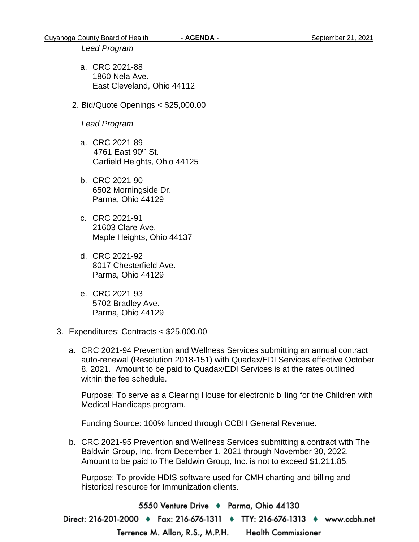#### *Lead Program*

- a. CRC 2021-88 1860 Nela Ave. East Cleveland, Ohio 44112
- 2. Bid/Quote Openings < \$25,000.00

#### *Lead Program*

- a. CRC 2021-89 4761 East 90<sup>th</sup> St. Garfield Heights, Ohio 44125
- b. CRC 2021-90 6502 Morningside Dr. Parma, Ohio 44129
- c. CRC 2021-91 21603 Clare Ave. Maple Heights, Ohio 44137
- d. CRC 2021-92 8017 Chesterfield Ave. Parma, Ohio 44129
- e. CRC 2021-93 5702 Bradley Ave. Parma, Ohio 44129
- 3. Expenditures: Contracts < \$25,000.00
	- a. CRC 2021-94 Prevention and Wellness Services submitting an annual contract auto-renewal (Resolution 2018-151) with Quadax/EDI Services effective October 8, 2021. Amount to be paid to Quadax/EDI Services is at the rates outlined within the fee schedule.

Purpose: To serve as a Clearing House for electronic billing for the Children with Medical Handicaps program.

Funding Source: 100% funded through CCBH General Revenue.

b. CRC 2021-95 Prevention and Wellness Services submitting a contract with The Baldwin Group, Inc. from December 1, 2021 through November 30, 2022. Amount to be paid to The Baldwin Group, Inc. is not to exceed \$1,211.85.

Purpose: To provide HDIS software used for CMH charting and billing and historical resource for Immunization clients.

5550 Venture Drive → Parma, Ohio 44130 Direct: 216-201-2000 ♦ Fax: 216-676-1311 ♦ TTY: 216-676-1313 ♦ www.ccbh.net Terrence M. Allan, R.S., M.P.H. **Health Commissioner**